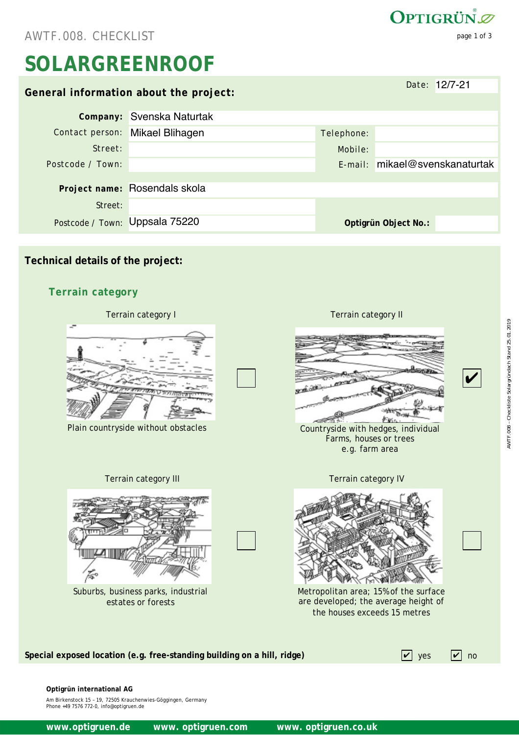AWTF.008. CHECKLIST page 1 of 3

# **SOLARGREENROOF**

|                                        |                                 |            | Date: 12/7-21                  |  |  |  |  |
|----------------------------------------|---------------------------------|------------|--------------------------------|--|--|--|--|
| General information about the project: |                                 |            |                                |  |  |  |  |
|                                        | Company: Svenska Naturtak       |            |                                |  |  |  |  |
|                                        | Contact person: Mikael Blihagen | Telephone: |                                |  |  |  |  |
| Street:                                |                                 | Mobile:    |                                |  |  |  |  |
| Postcode / Town:                       |                                 |            | E-mail: mikael@svenskanaturtak |  |  |  |  |
|                                        |                                 |            |                                |  |  |  |  |
|                                        | Project name: Rosendals skola   |            |                                |  |  |  |  |
| Street:                                |                                 |            |                                |  |  |  |  |
| Postcode / Town: Uppsala 75220         |                                 |            | Optigrün Object No.:           |  |  |  |  |
|                                        |                                 |            |                                |  |  |  |  |

#### **Technical details of the project:**

#### **Terrain category**



**Optigrün international AG** 

Am Birkenstock 15 – 19, 72505 Krauchenwies-Göggingen, Germany Phone +49 7576 772-0, info@optigruen.de

www.optigruen.de www.optigruen.com www. optigruen.co.uk

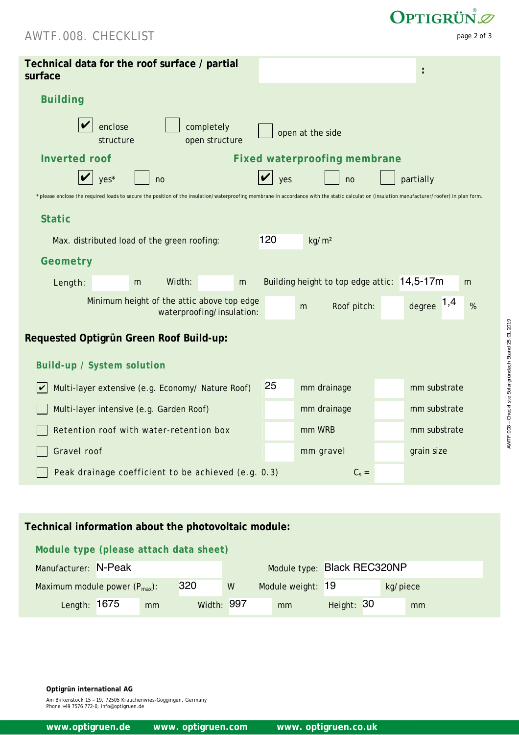### AWTF.008. CHECKLIST page 2 of 3

| Technical data for the roof surface / partial<br>surface                                                                                                                                     |                                             |                             |  |  |  |  |  |  |  |
|----------------------------------------------------------------------------------------------------------------------------------------------------------------------------------------------|---------------------------------------------|-----------------------------|--|--|--|--|--|--|--|
| <b>Building</b>                                                                                                                                                                              |                                             |                             |  |  |  |  |  |  |  |
| enclose<br>completely<br>open at the side<br>structure<br>open structure                                                                                                                     |                                             |                             |  |  |  |  |  |  |  |
| <b>Inverted roof</b><br><b>Fixed waterproofing membrane</b>                                                                                                                                  |                                             |                             |  |  |  |  |  |  |  |
| $yes*$<br>yes<br>partially<br>no<br>no                                                                                                                                                       |                                             |                             |  |  |  |  |  |  |  |
| * please enclose the required loads to secure the position of the insulation/waterproofing membrane in accordance with the static calculation (insulation manufacturer/roofer) in plan form. |                                             |                             |  |  |  |  |  |  |  |
| <b>Static</b>                                                                                                                                                                                |                                             |                             |  |  |  |  |  |  |  |
| Max. distributed load of the green roofing:                                                                                                                                                  | 120<br>kg/m <sup>2</sup>                    |                             |  |  |  |  |  |  |  |
| Geometry                                                                                                                                                                                     |                                             |                             |  |  |  |  |  |  |  |
| Width:<br>Length:<br>m<br>m                                                                                                                                                                  | Building height to top edge attic: 14,5-17m | m                           |  |  |  |  |  |  |  |
| Minimum height of the attic above top edge<br>waterproofing/insulation:                                                                                                                      | Roof pitch:<br>m                            | degree $1,4$<br>$\%$        |  |  |  |  |  |  |  |
| Requested Optigrün Green Roof Build-up:                                                                                                                                                      |                                             |                             |  |  |  |  |  |  |  |
| <b>Build-up / System solution</b>                                                                                                                                                            |                                             |                             |  |  |  |  |  |  |  |
| Multi-layer extensive (e.g. Economy/ Nature Roof)<br>V                                                                                                                                       | 25<br>mm drainage                           | mm substrate                |  |  |  |  |  |  |  |
| Multi-layer intensive (e.g. Garden Roof)                                                                                                                                                     | mm drainage                                 | mm substrate                |  |  |  |  |  |  |  |
| Retention roof with water-retention box                                                                                                                                                      | mm WRB                                      | mm substrate                |  |  |  |  |  |  |  |
| Gravel roof                                                                                                                                                                                  | mm gravel                                   | grain size                  |  |  |  |  |  |  |  |
| $C_s =$<br>Peak drainage coefficient to be achieved (e.g. 0.3)                                                                                                                               |                                             |                             |  |  |  |  |  |  |  |
|                                                                                                                                                                                              |                                             |                             |  |  |  |  |  |  |  |
|                                                                                                                                                                                              |                                             |                             |  |  |  |  |  |  |  |
| Technical information about the photovoltaic module:                                                                                                                                         |                                             |                             |  |  |  |  |  |  |  |
| Module type (please attach data sheet)                                                                                                                                                       |                                             |                             |  |  |  |  |  |  |  |
| Manufacturer: N-Peak                                                                                                                                                                         |                                             | Module type: Black REC320NP |  |  |  |  |  |  |  |
| 320<br>Maximum module power (P <sub>max</sub> ):<br>W                                                                                                                                        | Module weight: 19                           | kg/piece                    |  |  |  |  |  |  |  |
| Length: 1675<br>Width: 997<br>mm                                                                                                                                                             | Height: 30<br>mm                            | mm                          |  |  |  |  |  |  |  |

#### **Technical information about the photovoltaic module:**

#### **Module type (please attach data sheet)**

| Manufacturer: N-Peak               |    |                   | Module type: Black REC320NP |                   |            |          |
|------------------------------------|----|-------------------|-----------------------------|-------------------|------------|----------|
| Maximum module power $(P_{max})$ : |    | 320               | W                           | Module weight: 19 |            | kg/piece |
| Length: 1675                       | mm | <b>Width: 997</b> |                             | mm                | Height: 30 | mm       |

**Optigrün international AG** 

Am Birkenstock 15 – 19, 72505 Krauchenwies-Göggingen, Germany Phone +49 7576 772-0, info@optigruen.de

OPTIGRÜN<sup>®</sup>